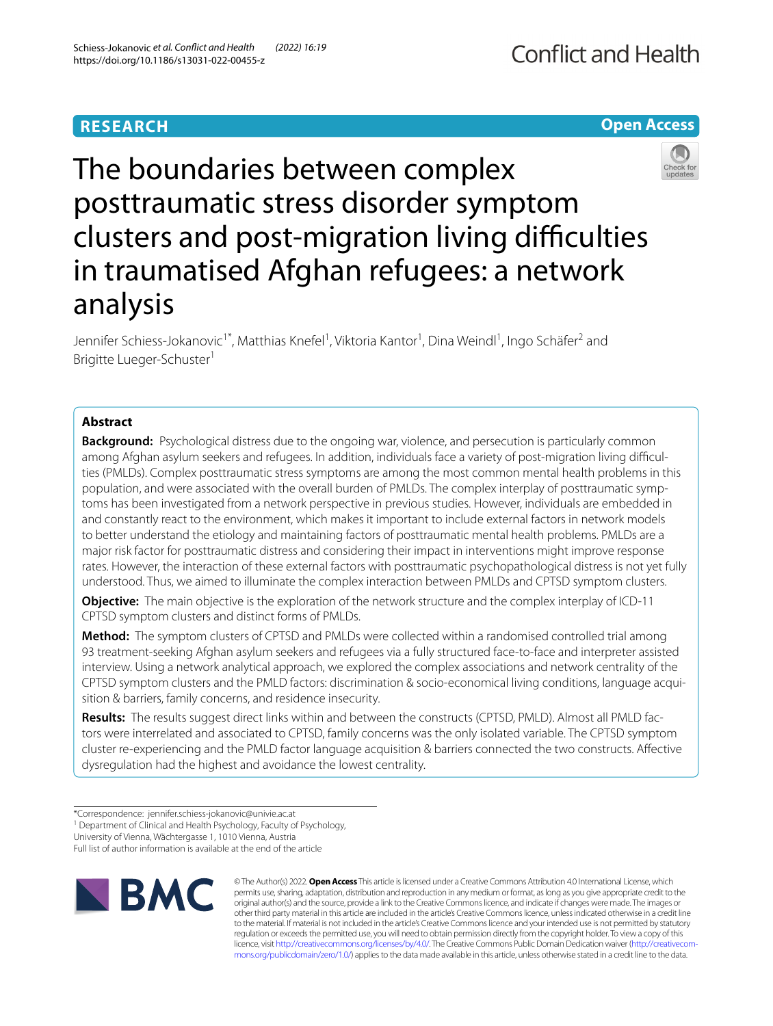# **RESEARCH**

# The boundaries between complex posttraumatic stress disorder symptom clusters and post-migration living difficulties in traumatised Afghan refugees: a network analysis

Jennifer Schiess-Jokanovic<sup>1\*</sup>, Matthias Knefel<sup>1</sup>, Viktoria Kantor<sup>1</sup>, Dina Weindl<sup>1</sup>, Ingo Schäfer<sup>2</sup> and Brigitte Lueger-Schuster<sup>1</sup>

# **Abstract**

**Background:** Psychological distress due to the ongoing war, violence, and persecution is particularly common among Afghan asylum seekers and refugees. In addition, individuals face a variety of post-migration living difficulties (PMLDs). Complex posttraumatic stress symptoms are among the most common mental health problems in this population, and were associated with the overall burden of PMLDs. The complex interplay of posttraumatic symptoms has been investigated from a network perspective in previous studies. However, individuals are embedded in and constantly react to the environment, which makes it important to include external factors in network models to better understand the etiology and maintaining factors of posttraumatic mental health problems. PMLDs are a major risk factor for posttraumatic distress and considering their impact in interventions might improve response rates. However, the interaction of these external factors with posttraumatic psychopathological distress is not yet fully understood. Thus, we aimed to illuminate the complex interaction between PMLDs and CPTSD symptom clusters.

**Objective:** The main objective is the exploration of the network structure and the complex interplay of ICD-11 CPTSD symptom clusters and distinct forms of PMLDs.

**Method:** The symptom clusters of CPTSD and PMLDs were collected within a randomised controlled trial among 93 treatment-seeking Afghan asylum seekers and refugees via a fully structured face-to-face and interpreter assisted interview. Using a network analytical approach, we explored the complex associations and network centrality of the CPTSD symptom clusters and the PMLD factors: discrimination & socio-economical living conditions, language acqui‑ sition & barriers, family concerns, and residence insecurity.

**Results:** The results suggest direct links within and between the constructs (CPTSD, PMLD). Almost all PMLD factors were interrelated and associated to CPTSD, family concerns was the only isolated variable. The CPTSD symptom cluster re-experiencing and the PMLD factor language acquisition & barriers connected the two constructs. Afective dysregulation had the highest and avoidance the lowest centrality.

Full list of author information is available at the end of the article







**Conflict and Health** 

<sup>\*</sup>Correspondence: jennifer.schiess-jokanovic@univie.ac.at

<sup>&</sup>lt;sup>1</sup> Department of Clinical and Health Psychology, Faculty of Psychology,

University of Vienna, Wächtergasse 1, 1010 Vienna, Austria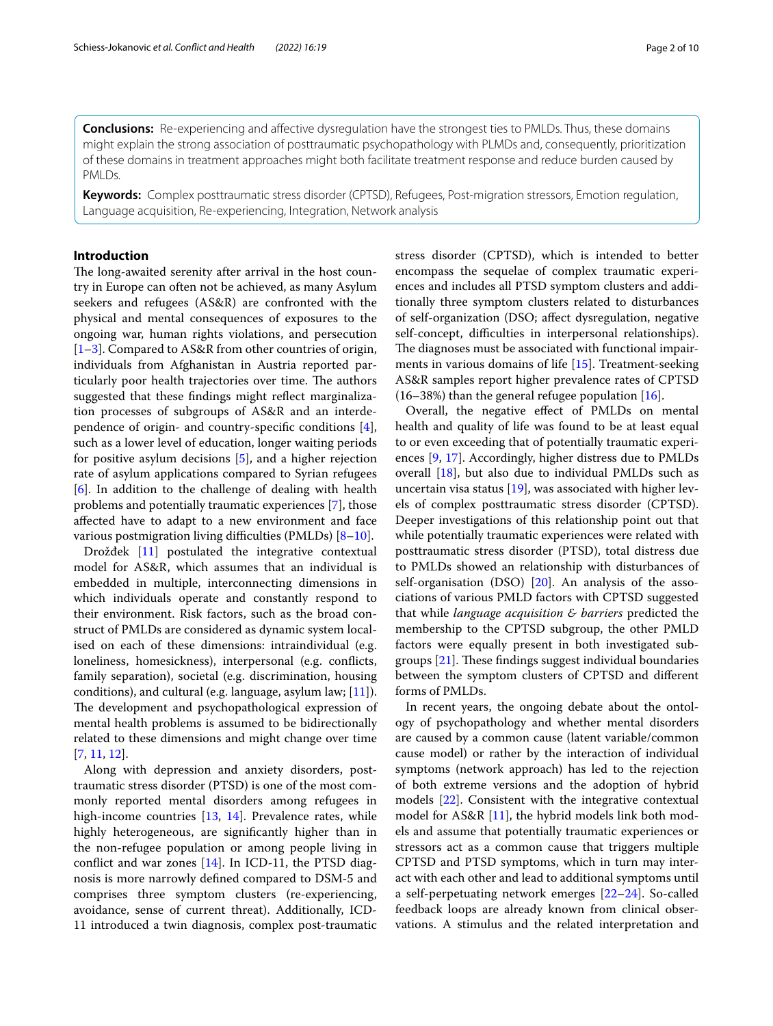**Conclusions:** Re-experiencing and afective dysregulation have the strongest ties to PMLDs. Thus, these domains might explain the strong association of posttraumatic psychopathology with PLMDs and, consequently, prioritization of these domains in treatment approaches might both facilitate treatment response and reduce burden caused by PMLDs.

**Keywords:** Complex posttraumatic stress disorder (CPTSD), Refugees, Post-migration stressors, Emotion regulation, Language acquisition, Re-experiencing, Integration, Network analysis

# **Introduction**

The long-awaited serenity after arrival in the host country in Europe can often not be achieved, as many Asylum seekers and refugees (AS&R) are confronted with the physical and mental consequences of exposures to the ongoing war, human rights violations, and persecution [[1–](#page-8-0)[3\]](#page-8-1). Compared to AS&R from other countries of origin, individuals from Afghanistan in Austria reported particularly poor health trajectories over time. The authors suggested that these fndings might refect marginalization processes of subgroups of AS&R and an interdependence of origin- and country-specifc conditions [\[4](#page-8-2)], such as a lower level of education, longer waiting periods for positive asylum decisions [\[5](#page-8-3)], and a higher rejection rate of asylum applications compared to Syrian refugees [[6\]](#page-8-4). In addition to the challenge of dealing with health problems and potentially traumatic experiences [[7\]](#page-8-5), those afected have to adapt to a new environment and face various postmigration living difficulties (PMLDs)  $[8-10]$  $[8-10]$ .

Drožđek [\[11](#page-8-8)] postulated the integrative contextual model for AS&R, which assumes that an individual is embedded in multiple, interconnecting dimensions in which individuals operate and constantly respond to their environment. Risk factors, such as the broad construct of PMLDs are considered as dynamic system localised on each of these dimensions: intraindividual (e.g. loneliness, homesickness), interpersonal (e.g. conficts, family separation), societal (e.g. discrimination, housing conditions), and cultural (e.g. language, asylum law; [\[11\]](#page-8-8)). The development and psychopathological expression of mental health problems is assumed to be bidirectionally related to these dimensions and might change over time [[7,](#page-8-5) [11](#page-8-8), [12\]](#page-8-9).

Along with depression and anxiety disorders, posttraumatic stress disorder (PTSD) is one of the most commonly reported mental disorders among refugees in high-income countries [\[13](#page-8-10), [14](#page-8-11)]. Prevalence rates, while highly heterogeneous, are signifcantly higher than in the non-refugee population or among people living in confict and war zones [\[14\]](#page-8-11). In ICD-11, the PTSD diagnosis is more narrowly defned compared to DSM-5 and comprises three symptom clusters (re-experiencing, avoidance, sense of current threat). Additionally, ICD-11 introduced a twin diagnosis, complex post-traumatic stress disorder (CPTSD), which is intended to better encompass the sequelae of complex traumatic experiences and includes all PTSD symptom clusters and additionally three symptom clusters related to disturbances of self-organization (DSO; afect dysregulation, negative self-concept, difficulties in interpersonal relationships). The diagnoses must be associated with functional impairments in various domains of life [\[15](#page-8-12)]. Treatment-seeking AS&R samples report higher prevalence rates of CPTSD  $(16–38%)$  than the general refugee population  $[16]$  $[16]$ .

Overall, the negative efect of PMLDs on mental health and quality of life was found to be at least equal to or even exceeding that of potentially traumatic experiences [\[9](#page-8-14), [17](#page-8-15)]. Accordingly, higher distress due to PMLDs overall [\[18](#page-8-16)], but also due to individual PMLDs such as uncertain visa status [[19\]](#page-8-17), was associated with higher levels of complex posttraumatic stress disorder (CPTSD). Deeper investigations of this relationship point out that while potentially traumatic experiences were related with posttraumatic stress disorder (PTSD), total distress due to PMLDs showed an relationship with disturbances of self-organisation (DSO) [\[20](#page-8-18)]. An analysis of the associations of various PMLD factors with CPTSD suggested that while *language acquisition & barriers* predicted the membership to the CPTSD subgroup, the other PMLD factors were equally present in both investigated subgroups  $[21]$  $[21]$ . These findings suggest individual boundaries between the symptom clusters of CPTSD and diferent forms of PMLDs.

In recent years, the ongoing debate about the ontology of psychopathology and whether mental disorders are caused by a common cause (latent variable/common cause model) or rather by the interaction of individual symptoms (network approach) has led to the rejection of both extreme versions and the adoption of hybrid models [[22](#page-8-20)]. Consistent with the integrative contextual model for AS&R [[11](#page-8-8)], the hybrid models link both models and assume that potentially traumatic experiences or stressors act as a common cause that triggers multiple CPTSD and PTSD symptoms, which in turn may interact with each other and lead to additional symptoms until a self-perpetuating network emerges [[22–](#page-8-20)[24](#page-8-21)]. So-called feedback loops are already known from clinical observations. A stimulus and the related interpretation and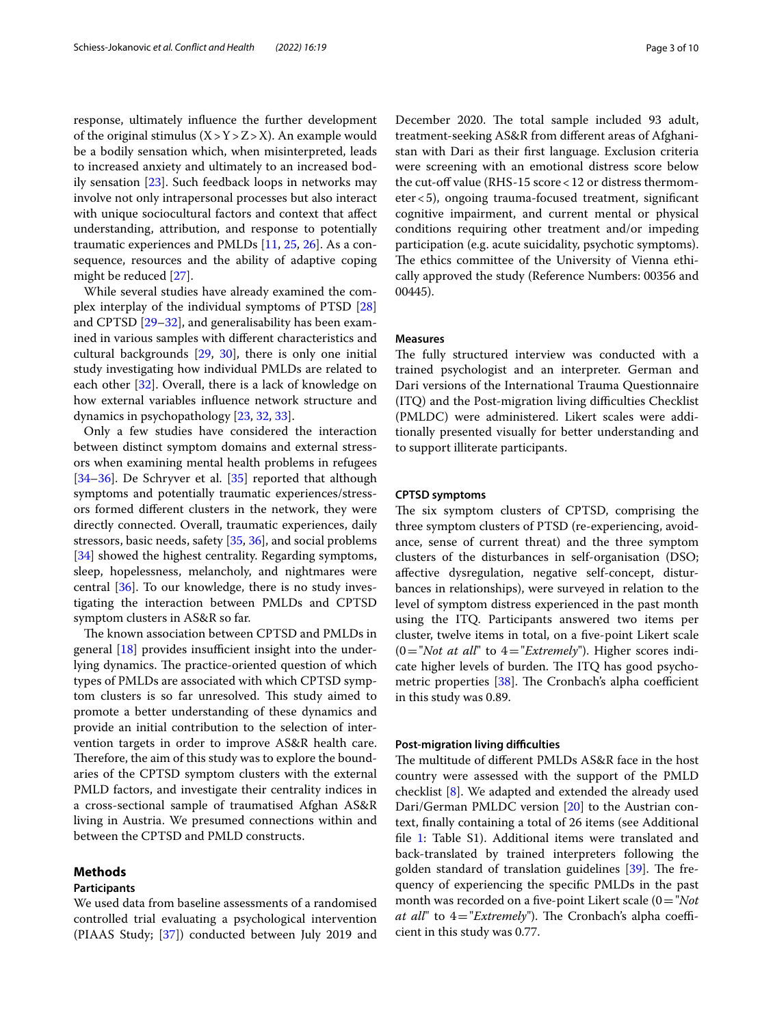response, ultimately infuence the further development of the original stimulus  $(X > Y > Z > X)$ . An example would be a bodily sensation which, when misinterpreted, leads to increased anxiety and ultimately to an increased bodily sensation [\[23](#page-8-22)]. Such feedback loops in networks may involve not only intrapersonal processes but also interact with unique sociocultural factors and context that afect understanding, attribution, and response to potentially traumatic experiences and PMLDs [\[11](#page-8-8), [25,](#page-8-23) [26](#page-8-24)]. As a consequence, resources and the ability of adaptive coping might be reduced [[27\]](#page-8-25).

While several studies have already examined the complex interplay of the individual symptoms of PTSD [[28](#page-8-26)] and CPTSD [\[29](#page-8-27)[–32\]](#page-9-0), and generalisability has been examined in various samples with diferent characteristics and cultural backgrounds [[29,](#page-8-27) [30](#page-8-28)], there is only one initial study investigating how individual PMLDs are related to each other  $[32]$  $[32]$ . Overall, there is a lack of knowledge on how external variables infuence network structure and dynamics in psychopathology [\[23,](#page-8-22) [32](#page-9-0), [33\]](#page-9-1).

Only a few studies have considered the interaction between distinct symptom domains and external stressors when examining mental health problems in refugees [[34–](#page-9-2)[36](#page-9-3)]. De Schryver et al. [\[35\]](#page-9-4) reported that although symptoms and potentially traumatic experiences/stressors formed diferent clusters in the network, they were directly connected. Overall, traumatic experiences, daily stressors, basic needs, safety [\[35](#page-9-4), [36\]](#page-9-3), and social problems [[34\]](#page-9-2) showed the highest centrality. Regarding symptoms, sleep, hopelessness, melancholy, and nightmares were central [[36](#page-9-3)]. To our knowledge, there is no study investigating the interaction between PMLDs and CPTSD symptom clusters in AS&R so far.

The known association between CPTSD and PMLDs in general  $[18]$  $[18]$  provides insufficient insight into the underlying dynamics. The practice-oriented question of which types of PMLDs are associated with which CPTSD symptom clusters is so far unresolved. This study aimed to promote a better understanding of these dynamics and provide an initial contribution to the selection of intervention targets in order to improve AS&R health care. Therefore, the aim of this study was to explore the boundaries of the CPTSD symptom clusters with the external PMLD factors, and investigate their centrality indices in a cross-sectional sample of traumatised Afghan AS&R living in Austria. We presumed connections within and between the CPTSD and PMLD constructs.

#### **Methods**

#### **Participants**

We used data from baseline assessments of a randomised controlled trial evaluating a psychological intervention (PIAAS Study; [[37](#page-9-5)]) conducted between July 2019 and December 2020. The total sample included 93 adult, treatment-seeking AS&R from diferent areas of Afghanistan with Dari as their frst language. Exclusion criteria were screening with an emotional distress score below the cut-off value (RHS-15 score < 12 or distress thermometer<5), ongoing trauma-focused treatment, signifcant cognitive impairment, and current mental or physical conditions requiring other treatment and/or impeding participation (e.g. acute suicidality, psychotic symptoms). The ethics committee of the University of Vienna ethically approved the study (Reference Numbers: 00356 and 00445).

# **Measures**

The fully structured interview was conducted with a trained psychologist and an interpreter. German and Dari versions of the International Trauma Questionnaire (ITQ) and the Post-migration living difficulties Checklist (PMLDC) were administered. Likert scales were additionally presented visually for better understanding and to support illiterate participants.

#### **CPTSD symptoms**

The six symptom clusters of CPTSD, comprising the three symptom clusters of PTSD (re-experiencing, avoidance, sense of current threat) and the three symptom clusters of the disturbances in self-organisation (DSO; afective dysregulation, negative self-concept, disturbances in relationships), were surveyed in relation to the level of symptom distress experienced in the past month using the ITQ. Participants answered two items per cluster, twelve items in total, on a fve-point Likert scale (0="*Not at all*" to 4="*Extremely*"). Higher scores indicate higher levels of burden. The ITQ has good psychometric properties  $[38]$  $[38]$ . The Cronbach's alpha coefficient in this study was 0.89.

#### **Post-migration living difficulties**

The multitude of different PMLDs AS&R face in the host country were assessed with the support of the PMLD checklist [[8\]](#page-8-6). We adapted and extended the already used Dari/German PMLDC version [\[20](#page-8-18)] to the Austrian context, fnally containing a total of 26 items (see Additional file [1](#page-7-0): Table S1). Additional items were translated and back-translated by trained interpreters following the golden standard of translation guidelines  $[39]$ . The frequency of experiencing the specifc PMLDs in the past month was recorded on a fve-point Likert scale (0="*Not at all*" to  $4 = "Extremely")$ . The Cronbach's alpha coefficient in this study was 0.77.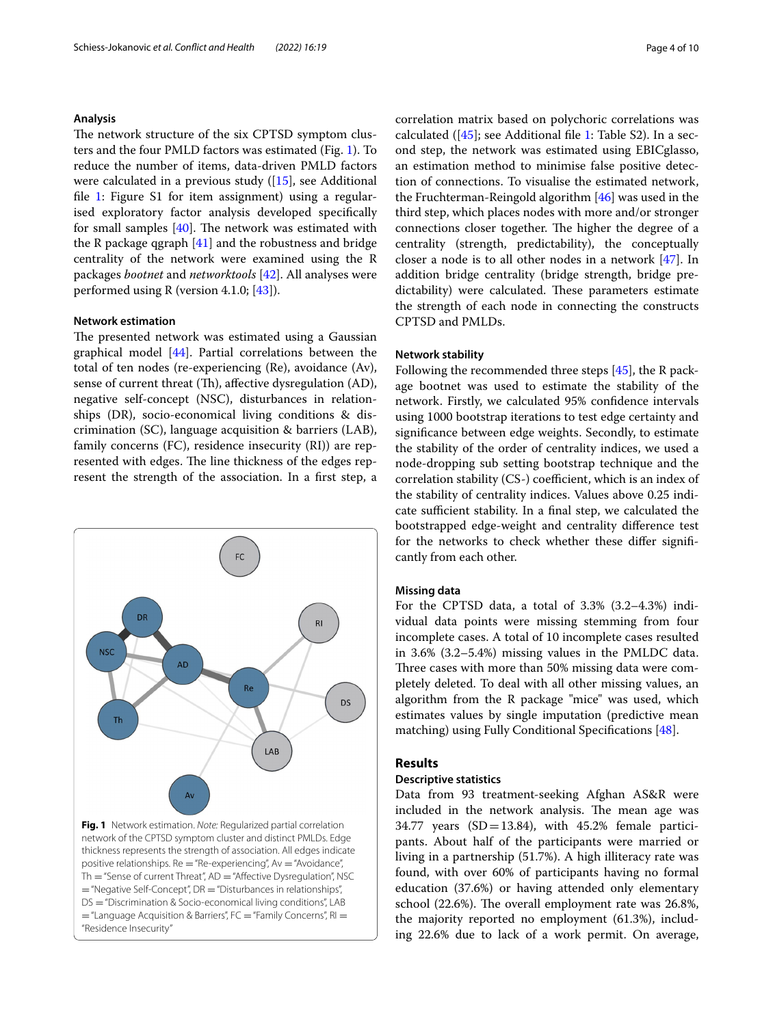#### **Analysis**

The network structure of the six CPTSD symptom clusters and the four PMLD factors was estimated (Fig. [1](#page-3-0)). To reduce the number of items, data-driven PMLD factors were calculated in a previous study ([[15](#page-8-12)], see Additional file [1](#page-7-0): Figure S1 for item assignment) using a regularised exploratory factor analysis developed specifcally for small samples  $[40]$  $[40]$ . The network was estimated with the R package qgraph [\[41\]](#page-9-9) and the robustness and bridge centrality of the network were examined using the R packages *bootnet* and *networktools* [[42\]](#page-9-10). All analyses were performed using R (version 4.1.0; [[43](#page-9-11)]).

#### **Network estimation**

The presented network was estimated using a Gaussian graphical model [\[44\]](#page-9-12). Partial correlations between the total of ten nodes (re-experiencing (Re), avoidance (Av), sense of current threat (Th), affective dysregulation (AD), negative self-concept (NSC), disturbances in relationships (DR), socio-economical living conditions & discrimination (SC), language acquisition & barriers (LAB), family concerns (FC), residence insecurity (RI)) are represented with edges. The line thickness of the edges represent the strength of the association. In a frst step, a



<span id="page-3-0"></span>Th = "Sense of current Threat", AD = "Affective Dysregulation", NSC  $=$  "Negative Self-Concept", DR  $=$  "Disturbances in relationships", DS = "Discrimination & Socio-economical living conditions", LAB  $=$  "Language Acquisition & Barriers", FC  $=$  "Family Concerns", RI  $=$ "Residence Insecurity"

correlation matrix based on polychoric correlations was calculated ( $[45]$  $[45]$ ; see Additional file [1](#page-7-0): Table S2). In a second step, the network was estimated using EBICglasso, an estimation method to minimise false positive detection of connections. To visualise the estimated network, the Fruchterman-Reingold algorithm [\[46\]](#page-9-14) was used in the third step, which places nodes with more and/or stronger connections closer together. The higher the degree of a centrality (strength, predictability), the conceptually closer a node is to all other nodes in a network [\[47](#page-9-15)]. In addition bridge centrality (bridge strength, bridge predictability) were calculated. These parameters estimate the strength of each node in connecting the constructs CPTSD and PMLDs.

#### **Network stability**

Following the recommended three steps [\[45](#page-9-13)], the R package bootnet was used to estimate the stability of the network. Firstly, we calculated 95% confdence intervals using 1000 bootstrap iterations to test edge certainty and signifcance between edge weights. Secondly, to estimate the stability of the order of centrality indices, we used a node-dropping sub setting bootstrap technique and the correlation stability (CS-) coefficient, which is an index of the stability of centrality indices. Values above 0.25 indicate sufficient stability. In a final step, we calculated the bootstrapped edge-weight and centrality diference test for the networks to check whether these difer signifcantly from each other.

#### **Missing data**

For the CPTSD data, a total of 3.3% (3.2–4.3%) individual data points were missing stemming from four incomplete cases. A total of 10 incomplete cases resulted in 3.6% (3.2–5.4%) missing values in the PMLDC data. Three cases with more than 50% missing data were completely deleted. To deal with all other missing values, an algorithm from the R package "mice" was used, which estimates values by single imputation (predictive mean matching) using Fully Conditional Specifcations [\[48](#page-9-16)].

# **Results**

#### **Descriptive statistics**

Data from 93 treatment-seeking Afghan AS&R were included in the network analysis. The mean age was 34.77 years  $(SD=13.84)$ , with 45.2% female participants. About half of the participants were married or living in a partnership (51.7%). A high illiteracy rate was found, with over 60% of participants having no formal education (37.6%) or having attended only elementary school (22.6%). The overall employment rate was 26.8%, the majority reported no employment (61.3%), including 22.6% due to lack of a work permit. On average,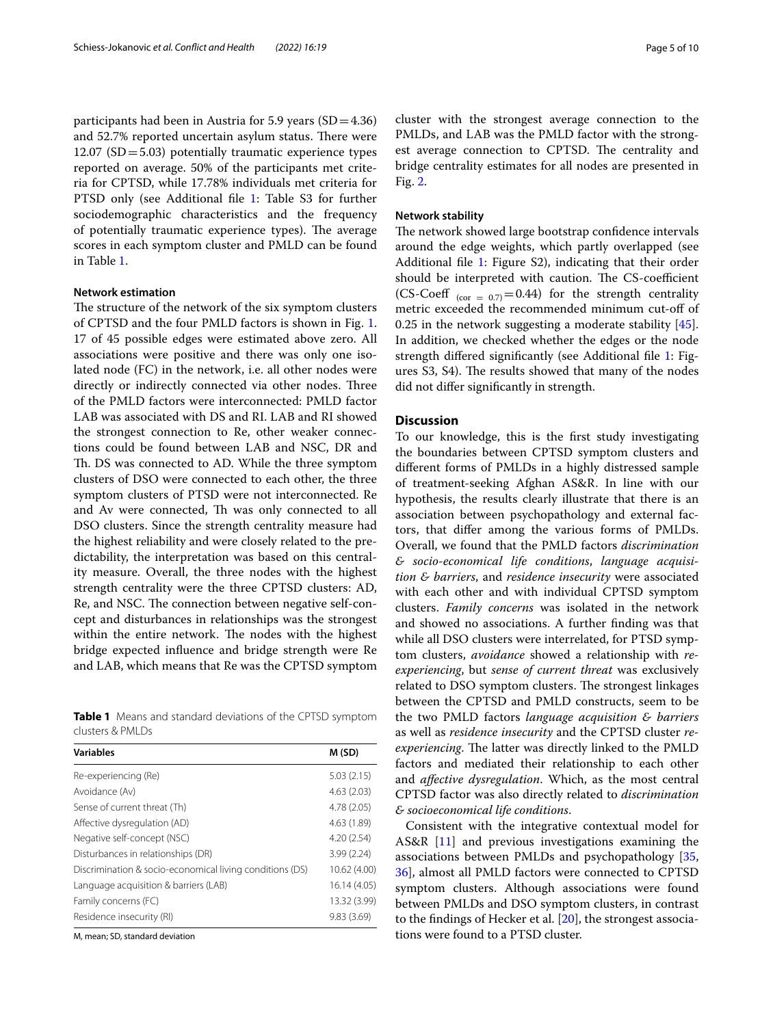participants had been in Austria for 5.9 years  $(SD=4.36)$ and 52.7% reported uncertain asylum status. There were 12.07 ( $SD = 5.03$ ) potentially traumatic experience types reported on average. 50% of the participants met criteria for CPTSD, while 17.78% individuals met criteria for PTSD only (see Additional file [1:](#page-7-0) Table S3 for further sociodemographic characteristics and the frequency of potentially traumatic experience types). The average scores in each symptom cluster and PMLD can be found in Table [1](#page-4-0).

# **Network estimation**

The structure of the network of the six symptom clusters of CPTSD and the four PMLD factors is shown in Fig. [1](#page-3-0). 17 of 45 possible edges were estimated above zero. All associations were positive and there was only one isolated node (FC) in the network, i.e. all other nodes were directly or indirectly connected via other nodes. Three of the PMLD factors were interconnected: PMLD factor LAB was associated with DS and RI. LAB and RI showed the strongest connection to Re, other weaker connections could be found between LAB and NSC, DR and Th. DS was connected to AD. While the three symptom clusters of DSO were connected to each other, the three symptom clusters of PTSD were not interconnected. Re and Av were connected, Th was only connected to all DSO clusters. Since the strength centrality measure had the highest reliability and were closely related to the predictability, the interpretation was based on this centrality measure. Overall, the three nodes with the highest strength centrality were the three CPTSD clusters: AD, Re, and NSC. The connection between negative self-concept and disturbances in relationships was the strongest within the entire network. The nodes with the highest bridge expected infuence and bridge strength were Re and LAB, which means that Re was the CPTSD symptom

<span id="page-4-0"></span>**Table 1** Means and standard deviations of the CPTSD symptom clusters & PMLDs

| <b>Variables</b>                                         | M (SD)       |
|----------------------------------------------------------|--------------|
| Re-experiencing (Re)                                     | 5.03(2.15)   |
| Avoidance (Av)                                           | 4.63(2.03)   |
| Sense of current threat (Th)                             | 4.78 (2.05)  |
| Affective dysregulation (AD)                             | 4.63 (1.89)  |
| Negative self-concept (NSC)                              | 4.20(2.54)   |
| Disturbances in relationships (DR)                       | 3.99(2.24)   |
| Discrimination & socio-economical living conditions (DS) | 10.62 (4.00) |
| Language acquisition & barriers (LAB)                    | 16.14 (4.05) |
| Family concerns (FC)                                     | 13.32 (3.99) |
| Residence insecurity (RI)                                | 9.83(3.69)   |
| .                                                        |              |

M, mean; SD, standard deviation

cluster with the strongest average connection to the PMLDs, and LAB was the PMLD factor with the strongest average connection to CPTSD. The centrality and bridge centrality estimates for all nodes are presented in Fig. [2.](#page-5-0)

# **Network stability**

The network showed large bootstrap confidence intervals around the edge weights, which partly overlapped (see Additional file [1](#page-7-0): Figure S2), indicating that their order should be interpreted with caution. The CS-coefficient (CS-Coeff  $_{\rm (cor = 0.7)} = 0.44$ ) for the strength centrality metric exceeded the recommended minimum cut-of of 0.25 in the network suggesting a moderate stability [\[45](#page-9-13)]. In addition, we checked whether the edges or the node strength difered signifcantly (see Additional fle [1](#page-7-0): Figures S3, S4). The results showed that many of the nodes did not difer signifcantly in strength.

## **Discussion**

To our knowledge, this is the frst study investigating the boundaries between CPTSD symptom clusters and diferent forms of PMLDs in a highly distressed sample of treatment-seeking Afghan AS&R. In line with our hypothesis, the results clearly illustrate that there is an association between psychopathology and external factors, that difer among the various forms of PMLDs. Overall, we found that the PMLD factors *discrimination & socio-economical life conditions*, *language acquisition & barriers*, and *residence insecurity* were associated with each other and with individual CPTSD symptom clusters. *Family concerns* was isolated in the network and showed no associations. A further fnding was that while all DSO clusters were interrelated, for PTSD symptom clusters, *avoidance* showed a relationship with *reexperiencing*, but *sense of current threat* was exclusively related to DSO symptom clusters. The strongest linkages between the CPTSD and PMLD constructs, seem to be the two PMLD factors *language acquisition & barriers* as well as *residence insecurity* and the CPTSD cluster *reexperiencing*. The latter was directly linked to the PMLD factors and mediated their relationship to each other and *afective dysregulation*. Which, as the most central CPTSD factor was also directly related to *discrimination & socioeconomical life conditions*.

Consistent with the integrative contextual model for AS&R [\[11](#page-8-8)] and previous investigations examining the associations between PMLDs and psychopathology [[35](#page-9-4), [36\]](#page-9-3), almost all PMLD factors were connected to CPTSD symptom clusters. Although associations were found between PMLDs and DSO symptom clusters, in contrast to the fndings of Hecker et al. [[20\]](#page-8-18), the strongest associations were found to a PTSD cluster.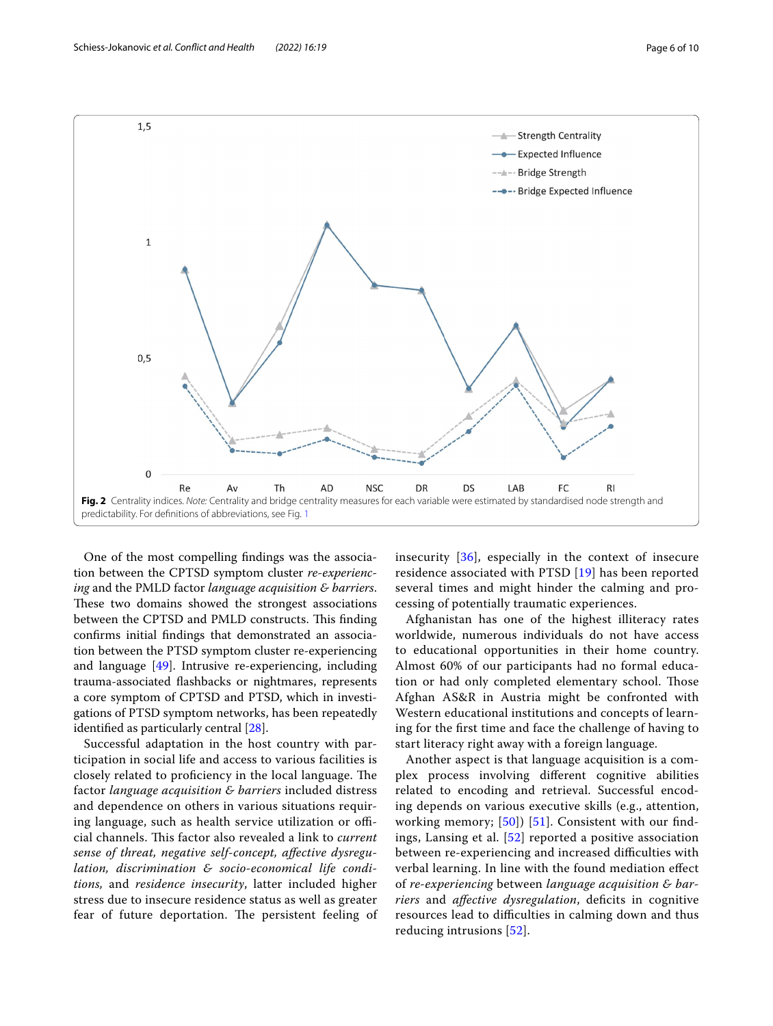

<span id="page-5-0"></span>One of the most compelling fndings was the association between the CPTSD symptom cluster *re-experiencing* and the PMLD factor *language acquisition & barriers*. These two domains showed the strongest associations between the CPTSD and PMLD constructs. This finding confrms initial fndings that demonstrated an association between the PTSD symptom cluster re-experiencing and language [\[49](#page-9-17)]. Intrusive re-experiencing, including trauma-associated fashbacks or nightmares, represents a core symptom of CPTSD and PTSD, which in investigations of PTSD symptom networks, has been repeatedly identifed as particularly central [[28\]](#page-8-26).

Successful adaptation in the host country with participation in social life and access to various facilities is closely related to proficiency in the local language. The factor *language acquisition & barriers* included distress and dependence on others in various situations requiring language, such as health service utilization or official channels. Tis factor also revealed a link to *current sense of threat, negative self-concept, afective dysregulation, discrimination & socio-economical life conditions,* and *residence insecurity*, latter included higher stress due to insecure residence status as well as greater fear of future deportation. The persistent feeling of insecurity [[36](#page-9-3)], especially in the context of insecure residence associated with PTSD [[19](#page-8-17)] has been reported several times and might hinder the calming and processing of potentially traumatic experiences.

Afghanistan has one of the highest illiteracy rates worldwide, numerous individuals do not have access to educational opportunities in their home country. Almost 60% of our participants had no formal education or had only completed elementary school. Those Afghan AS&R in Austria might be confronted with Western educational institutions and concepts of learning for the frst time and face the challenge of having to start literacy right away with a foreign language.

Another aspect is that language acquisition is a complex process involving diferent cognitive abilities related to encoding and retrieval. Successful encoding depends on various executive skills (e.g., attention, working memory; [\[50](#page-9-18)]) [[51\]](#page-9-19). Consistent with our findings, Lansing et al. [\[52](#page-9-20)] reported a positive association between re-experiencing and increased difficulties with verbal learning. In line with the found mediation efect of *re-experiencing* between *language acquisition & barriers* and *afective dysregulation*, defcits in cognitive resources lead to difficulties in calming down and thus reducing intrusions [[52](#page-9-20)].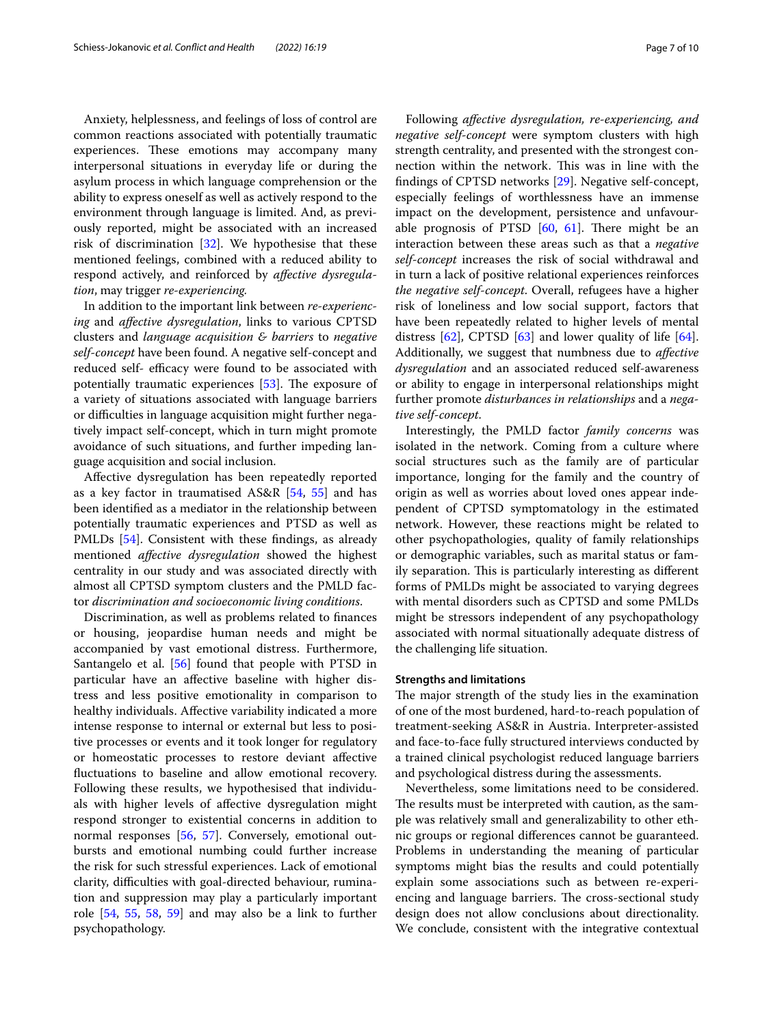Anxiety, helplessness, and feelings of loss of control are common reactions associated with potentially traumatic experiences. These emotions may accompany many interpersonal situations in everyday life or during the asylum process in which language comprehension or the ability to express oneself as well as actively respond to the environment through language is limited. And, as previously reported, might be associated with an increased risk of discrimination [[32\]](#page-9-0). We hypothesise that these mentioned feelings, combined with a reduced ability to respond actively, and reinforced by *afective dysregulation*, may trigger *re-experiencing.*

In addition to the important link between *re-experiencing* and *afective dysregulation*, links to various CPTSD clusters and *language acquisition & barriers* to *negative self-concept* have been found. A negative self-concept and reduced self- efficacy were found to be associated with potentially traumatic experiences  $[53]$  $[53]$ . The exposure of a variety of situations associated with language barriers or difficulties in language acquisition might further negatively impact self-concept, which in turn might promote avoidance of such situations, and further impeding language acquisition and social inclusion.

Afective dysregulation has been repeatedly reported as a key factor in traumatised AS&R [[54](#page-9-22), [55\]](#page-9-23) and has been identifed as a mediator in the relationship between potentially traumatic experiences and PTSD as well as PMLDs [\[54\]](#page-9-22). Consistent with these fndings, as already mentioned *afective dysregulation* showed the highest centrality in our study and was associated directly with almost all CPTSD symptom clusters and the PMLD factor *discrimination and socioeconomic living conditions*.

Discrimination, as well as problems related to fnances or housing, jeopardise human needs and might be accompanied by vast emotional distress. Furthermore, Santangelo et al. [\[56](#page-9-24)] found that people with PTSD in particular have an afective baseline with higher distress and less positive emotionality in comparison to healthy individuals. Afective variability indicated a more intense response to internal or external but less to positive processes or events and it took longer for regulatory or homeostatic processes to restore deviant afective fuctuations to baseline and allow emotional recovery. Following these results, we hypothesised that individuals with higher levels of afective dysregulation might respond stronger to existential concerns in addition to normal responses [\[56,](#page-9-24) [57\]](#page-9-25). Conversely, emotional outbursts and emotional numbing could further increase the risk for such stressful experiences. Lack of emotional clarity, difficulties with goal-directed behaviour, rumination and suppression may play a particularly important role [[54,](#page-9-22) [55,](#page-9-23) [58](#page-9-26), [59](#page-9-27)] and may also be a link to further psychopathology.

Following *afective dysregulation, re-experiencing, and negative self-concept* were symptom clusters with high strength centrality, and presented with the strongest connection within the network. This was in line with the fndings of CPTSD networks [\[29](#page-8-27)]. Negative self-concept, especially feelings of worthlessness have an immense impact on the development, persistence and unfavourable prognosis of PTSD  $[60, 61]$  $[60, 61]$  $[60, 61]$  $[60, 61]$ . There might be an interaction between these areas such as that a *negative self-concept* increases the risk of social withdrawal and in turn a lack of positive relational experiences reinforces *the negative self-concept*. Overall, refugees have a higher risk of loneliness and low social support, factors that have been repeatedly related to higher levels of mental distress  $[62]$  $[62]$ , CPTSD  $[63]$  $[63]$  and lower quality of life  $[64]$  $[64]$ . Additionally, we suggest that numbness due to *afective dysregulation* and an associated reduced self-awareness or ability to engage in interpersonal relationships might further promote *disturbances in relationships* and a *negative self-concept*.

Interestingly, the PMLD factor *family concerns* was isolated in the network. Coming from a culture where social structures such as the family are of particular importance, longing for the family and the country of origin as well as worries about loved ones appear independent of CPTSD symptomatology in the estimated network. However, these reactions might be related to other psychopathologies, quality of family relationships or demographic variables, such as marital status or family separation. This is particularly interesting as different forms of PMLDs might be associated to varying degrees with mental disorders such as CPTSD and some PMLDs might be stressors independent of any psychopathology associated with normal situationally adequate distress of the challenging life situation.

#### **Strengths and limitations**

The major strength of the study lies in the examination of one of the most burdened, hard-to-reach population of treatment-seeking AS&R in Austria. Interpreter-assisted and face-to-face fully structured interviews conducted by a trained clinical psychologist reduced language barriers and psychological distress during the assessments.

Nevertheless, some limitations need to be considered. The results must be interpreted with caution, as the sample was relatively small and generalizability to other ethnic groups or regional diferences cannot be guaranteed. Problems in understanding the meaning of particular symptoms might bias the results and could potentially explain some associations such as between re-experiencing and language barriers. The cross-sectional study design does not allow conclusions about directionality. We conclude, consistent with the integrative contextual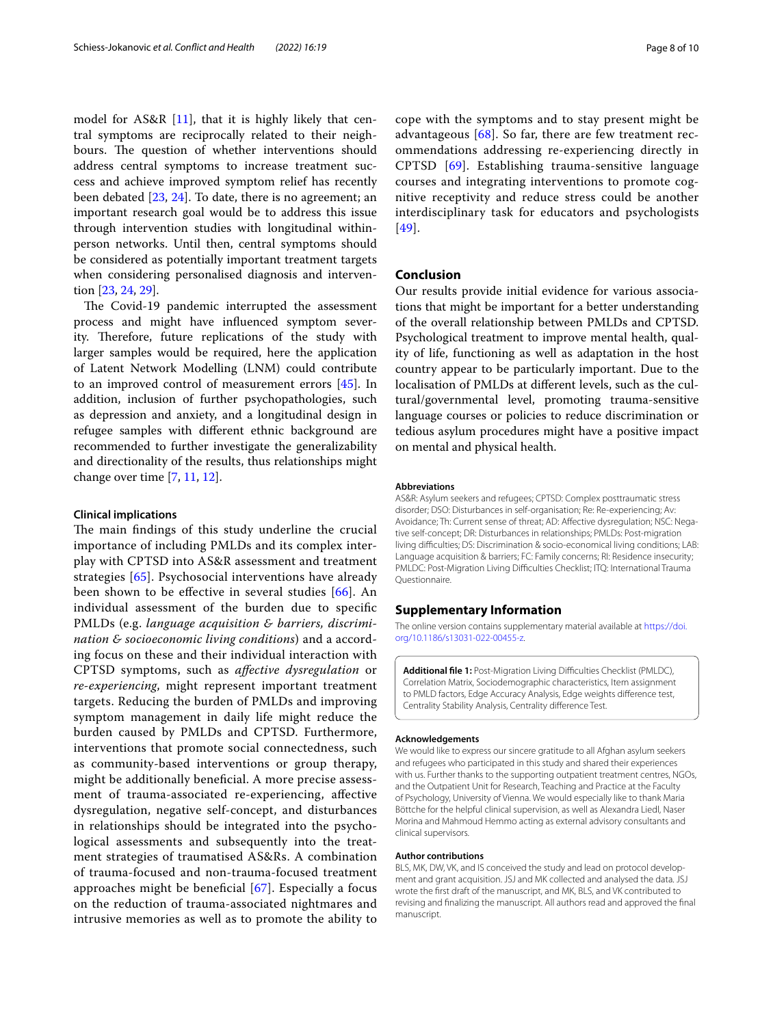model for AS&R [[11\]](#page-8-8), that it is highly likely that central symptoms are reciprocally related to their neighbours. The question of whether interventions should address central symptoms to increase treatment success and achieve improved symptom relief has recently been debated [\[23](#page-8-22), [24\]](#page-8-21). To date, there is no agreement; an important research goal would be to address this issue through intervention studies with longitudinal withinperson networks. Until then, central symptoms should be considered as potentially important treatment targets when considering personalised diagnosis and intervention [[23,](#page-8-22) [24,](#page-8-21) [29](#page-8-27)].

The Covid-19 pandemic interrupted the assessment process and might have infuenced symptom severity. Therefore, future replications of the study with larger samples would be required, here the application of Latent Network Modelling (LNM) could contribute to an improved control of measurement errors [[45\]](#page-9-13). In addition, inclusion of further psychopathologies, such as depression and anxiety, and a longitudinal design in refugee samples with diferent ethnic background are recommended to further investigate the generalizability and directionality of the results, thus relationships might change over time [\[7](#page-8-5), [11](#page-8-8), [12\]](#page-8-9).

# **Clinical implications**

The main findings of this study underline the crucial importance of including PMLDs and its complex interplay with CPTSD into AS&R assessment and treatment strategies [[65](#page-9-33)]. Psychosocial interventions have already been shown to be efective in several studies [\[66\]](#page-9-34). An individual assessment of the burden due to specifc PMLDs (e.g. *language acquisition & barriers, discrimination & socioeconomic living conditions*) and a according focus on these and their individual interaction with CPTSD symptoms, such as *afective dysregulation* or *re-experiencing*, might represent important treatment targets. Reducing the burden of PMLDs and improving symptom management in daily life might reduce the burden caused by PMLDs and CPTSD. Furthermore, interventions that promote social connectedness, such as community-based interventions or group therapy, might be additionally benefcial. A more precise assessment of trauma-associated re-experiencing, afective dysregulation, negative self-concept, and disturbances in relationships should be integrated into the psychological assessments and subsequently into the treatment strategies of traumatised AS&Rs. A combination of trauma-focused and non-trauma-focused treatment approaches might be beneficial  $[67]$  $[67]$  $[67]$ . Especially a focus on the reduction of trauma-associated nightmares and intrusive memories as well as to promote the ability to

cope with the symptoms and to stay present might be advantageous  $[68]$  $[68]$ . So far, there are few treatment recommendations addressing re-experiencing directly in CPTSD [[69](#page-9-37)]. Establishing trauma-sensitive language courses and integrating interventions to promote cognitive receptivity and reduce stress could be another interdisciplinary task for educators and psychologists [[49](#page-9-17)].

# **Conclusion**

Our results provide initial evidence for various associations that might be important for a better understanding of the overall relationship between PMLDs and CPTSD. Psychological treatment to improve mental health, quality of life, functioning as well as adaptation in the host country appear to be particularly important. Due to the localisation of PMLDs at diferent levels, such as the cultural/governmental level, promoting trauma-sensitive language courses or policies to reduce discrimination or tedious asylum procedures might have a positive impact on mental and physical health.

#### **Abbreviations**

AS&R: Asylum seekers and refugees; CPTSD: Complex posttraumatic stress disorder; DSO: Disturbances in self-organisation; Re: Re-experiencing; Av: Avoidance; Th: Current sense of threat; AD: Affective dysregulation; NSC: Negative self-concept; DR: Disturbances in relationships; PMLDs: Post-migration living difficulties; DS: Discrimination & socio-economical living conditions; LAB: Language acquisition & barriers; FC: Family concerns; RI: Residence insecurity; PMLDC: Post-Migration Living Difficulties Checklist; ITQ: International Trauma Questionnaire.

#### **Supplementary Information**

The online version contains supplementary material available at [https://doi.](https://doi.org/10.1186/s13031-022-00455-z) [org/10.1186/s13031-022-00455-z.](https://doi.org/10.1186/s13031-022-00455-z)

<span id="page-7-0"></span>Additional file 1: Post-Migration Living Difficulties Checklist (PMLDC), Correlation Matrix, Sociodemographic characteristics, Item assignment to PMLD factors, Edge Accuracy Analysis, Edge weights diference test, Centrality Stability Analysis, Centrality diference Test.

#### **Acknowledgements**

We would like to express our sincere gratitude to all Afghan asylum seekers and refugees who participated in this study and shared their experiences with us. Further thanks to the supporting outpatient treatment centres, NGOs, and the Outpatient Unit for Research, Teaching and Practice at the Faculty of Psychology, University of Vienna. We would especially like to thank Maria Böttche for the helpful clinical supervision, as well as Alexandra Liedl, Naser Morina and Mahmoud Hemmo acting as external advisory consultants and clinical supervisors.

#### **Author contributions**

BLS, MK, DW, VK, and IS conceived the study and lead on protocol development and grant acquisition. JSJ and MK collected and analysed the data. JSJ wrote the frst draft of the manuscript, and MK, BLS, and VK contributed to revising and fnalizing the manuscript. All authors read and approved the fnal manuscript.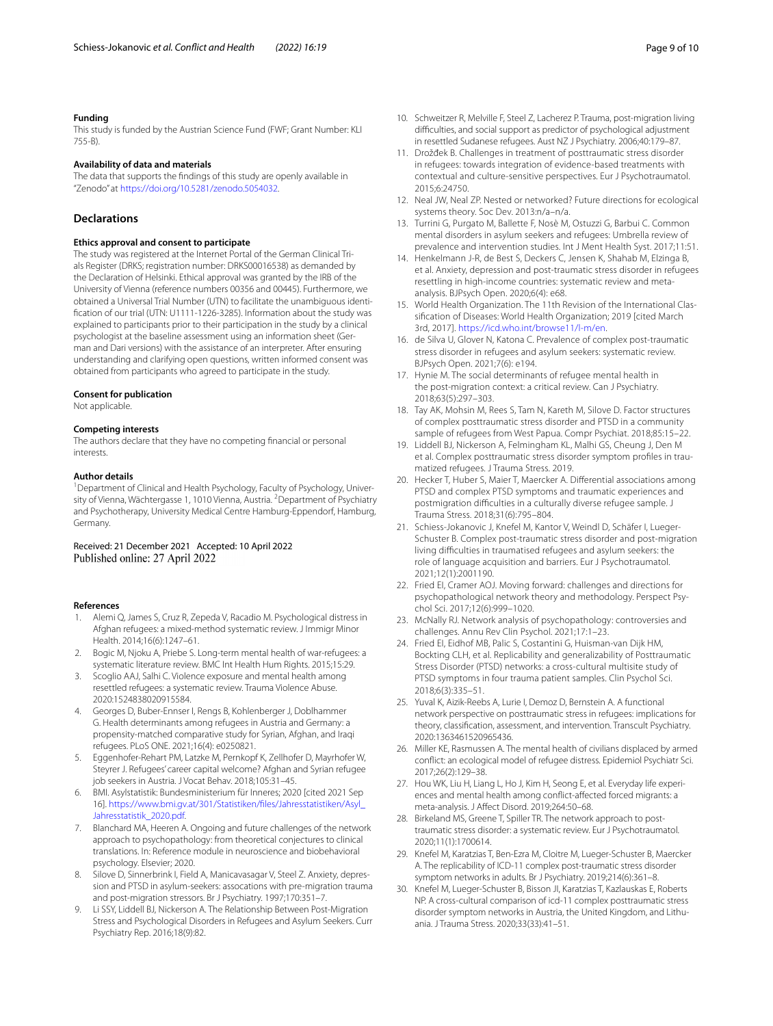#### **Funding**

This study is funded by the Austrian Science Fund (FWF; Grant Number: KLI 755-B).

#### **Availability of data and materials**

The data that supports the fndings of this study are openly available in "Zenodo" at <https://doi.org/10.5281/zenodo.5054032>.

# **Declarations**

#### **Ethics approval and consent to participate**

The study was registered at the Internet Portal of the German Clinical Trials Register (DRKS; registration number: DRKS00016538) as demanded by the Declaration of Helsinki. Ethical approval was granted by the IRB of the University of Vienna (reference numbers 00356 and 00445). Furthermore, we obtained a Universal Trial Number (UTN) to facilitate the unambiguous identifcation of our trial (UTN: U1111-1226-3285). Information about the study was explained to participants prior to their participation in the study by a clinical psychologist at the baseline assessment using an information sheet (German and Dari versions) with the assistance of an interpreter. After ensuring understanding and clarifying open questions, written informed consent was obtained from participants who agreed to participate in the study.

### **Consent for publication**

Not applicable.

#### **Competing interests**

The authors declare that they have no competing fnancial or personal interests.

#### **Author details**

<sup>1</sup> Department of Clinical and Health Psychology, Faculty of Psychology, University of Vienna, Wächtergasse 1, 1010 Vienna, Austria. <sup>2</sup> Department of Psychiatry and Psychotherapy, University Medical Centre Hamburg-Eppendorf, Hamburg, Germany.

# Received: 21 December 2021 Accepted: 10 April 2022

#### **References**

- <span id="page-8-0"></span>1. Alemi Q, James S, Cruz R, Zepeda V, Racadio M. Psychological distress in Afghan refugees: a mixed-method systematic review. J Immigr Minor Health. 2014;16(6):1247–61.
- 2. Bogic M, Njoku A, Priebe S. Long-term mental health of war-refugees: a systematic literature review. BMC Int Health Hum Rights. 2015;15:29.
- <span id="page-8-1"></span>3. Scoglio AAJ, Salhi C. Violence exposure and mental health among resettled refugees: a systematic review. Trauma Violence Abuse. 2020:1524838020915584.
- <span id="page-8-2"></span>4. Georges D, Buber-Ennser I, Rengs B, Kohlenberger J, Doblhammer G. Health determinants among refugees in Austria and Germany: a propensity-matched comparative study for Syrian, Afghan, and Iraqi refugees. PLoS ONE. 2021;16(4): e0250821.
- <span id="page-8-3"></span>5. Eggenhofer-Rehart PM, Latzke M, Pernkopf K, Zellhofer D, Mayrhofer W, Steyrer J. Refugees' career capital welcome? Afghan and Syrian refugee job seekers in Austria. J Vocat Behav. 2018;105:31–45.
- <span id="page-8-4"></span>6. BMI. Asylstatistik: Bundesministerium für Inneres; 2020 [cited 2021 Sep 16]. [https://www.bmi.gv.at/301/Statistiken/fles/Jahresstatistiken/Asyl\\_](https://www.bmi.gv.at/301/Statistiken/files/Jahresstatistiken/Asyl_Jahresstatistik_2020.pdf) [Jahresstatistik\\_2020.pdf](https://www.bmi.gv.at/301/Statistiken/files/Jahresstatistiken/Asyl_Jahresstatistik_2020.pdf).
- <span id="page-8-5"></span>7. Blanchard MA, Heeren A. Ongoing and future challenges of the network approach to psychopathology: from theoretical conjectures to clinical translations. In: Reference module in neuroscience and biobehavioral psychology. Elsevier; 2020.
- <span id="page-8-6"></span>Silove D, Sinnerbrink I, Field A, Manicavasagar V, Steel Z. Anxiety, depression and PTSD in asylum-seekers: assocations with pre-migration trauma and post-migration stressors. Br J Psychiatry. 1997;170:351–7.
- <span id="page-8-14"></span>9. Li SSY, Liddell BJ, Nickerson A. The Relationship Between Post-Migration Stress and Psychological Disorders in Refugees and Asylum Seekers. Curr Psychiatry Rep. 2016;18(9):82.
- <span id="page-8-7"></span>10. Schweitzer R, Melville F, Steel Z, Lacherez P. Trauma, post-migration living difficulties, and social support as predictor of psychological adjustment in resettled Sudanese refugees. Aust NZ J Psychiatry. 2006;40:179–87.
- <span id="page-8-8"></span>11. Drožđek B. Challenges in treatment of posttraumatic stress disorder in refugees: towards integration of evidence-based treatments with contextual and culture-sensitive perspectives. Eur J Psychotraumatol. 2015;6:24750.
- <span id="page-8-9"></span>12. Neal JW, Neal ZP. Nested or networked? Future directions for ecological systems theory. Soc Dev. 2013:n/a–n/a.
- <span id="page-8-10"></span>13. Turrini G, Purgato M, Ballette F, Nosè M, Ostuzzi G, Barbui C. Common mental disorders in asylum seekers and refugees: Umbrella review of prevalence and intervention studies. Int J Ment Health Syst. 2017;11:51.
- <span id="page-8-11"></span>14. Henkelmann J-R, de Best S, Deckers C, Jensen K, Shahab M, Elzinga B, et al. Anxiety, depression and post-traumatic stress disorder in refugees resettling in high-income countries: systematic review and metaanalysis. BJPsych Open. 2020;6(4): e68.
- <span id="page-8-12"></span>15. World Health Organization. The 11th Revision of the International Classifcation of Diseases: World Health Organization; 2019 [cited March 3rd, 2017]. [https://icd.who.int/browse11/l-m/en.](https://icd.who.int/browse11/l-m/en)
- <span id="page-8-13"></span>16. de Silva U, Glover N, Katona C. Prevalence of complex post-traumatic stress disorder in refugees and asylum seekers: systematic review. BJPsych Open. 2021;7(6): e194.
- <span id="page-8-15"></span>17. Hynie M. The social determinants of refugee mental health in the post-migration context: a critical review. Can J Psychiatry. 2018;63(5):297–303.
- <span id="page-8-16"></span>18. Tay AK, Mohsin M, Rees S, Tam N, Kareth M, Silove D. Factor structures of complex posttraumatic stress disorder and PTSD in a community sample of refugees from West Papua. Compr Psychiat. 2018;85:15–22.
- <span id="page-8-17"></span>19. Liddell BJ, Nickerson A, Felmingham KL, Malhi GS, Cheung J, Den M et al. Complex posttraumatic stress disorder symptom profiles in traumatized refugees. J Trauma Stress. 2019.
- <span id="page-8-18"></span>20. Hecker T, Huber S, Maier T, Maercker A. Diferential associations among PTSD and complex PTSD symptoms and traumatic experiences and postmigration difficulties in a culturally diverse refugee sample. J Trauma Stress. 2018;31(6):795–804.
- <span id="page-8-19"></span>21. Schiess-Jokanovic J, Knefel M, Kantor V, Weindl D, Schäfer I, Lueger-Schuster B. Complex post-traumatic stress disorder and post-migration living difculties in traumatised refugees and asylum seekers: the role of language acquisition and barriers. Eur J Psychotraumatol. 2021;12(1):2001190.
- <span id="page-8-20"></span>22. Fried EI, Cramer AOJ. Moving forward: challenges and directions for psychopathological network theory and methodology. Perspect Psychol Sci. 2017;12(6):999–1020.
- <span id="page-8-22"></span>23. McNally RJ. Network analysis of psychopathology: controversies and challenges. Annu Rev Clin Psychol. 2021;17:1–23.
- <span id="page-8-21"></span>24. Fried EI, Eidhof MB, Palic S, Costantini G, Huisman-van Dijk HM, Bockting CLH, et al. Replicability and generalizability of Posttraumatic Stress Disorder (PTSD) networks: a cross-cultural multisite study of PTSD symptoms in four trauma patient samples. Clin Psychol Sci. 2018;6(3):335–51.
- <span id="page-8-23"></span>25. Yuval K, Aizik-Reebs A, Lurie I, Demoz D, Bernstein A. A functional network perspective on posttraumatic stress in refugees: implications for theory, classifcation, assessment, and intervention. Transcult Psychiatry. 2020:1363461520965436.
- <span id="page-8-24"></span>26. Miller KE, Rasmussen A. The mental health of civilians displaced by armed confict: an ecological model of refugee distress. Epidemiol Psychiatr Sci. 2017;26(2):129–38.
- <span id="page-8-25"></span>27. Hou WK, Liu H, Liang L, Ho J, Kim H, Seong E, et al. Everyday life experiences and mental health among confict-afected forced migrants: a meta-analysis. J Afect Disord. 2019;264:50–68.
- <span id="page-8-26"></span>28. Birkeland MS, Greene T, Spiller TR. The network approach to posttraumatic stress disorder: a systematic review. Eur J Psychotraumatol. 2020;11(1):1700614.
- <span id="page-8-27"></span>29. Knefel M, Karatzias T, Ben-Ezra M, Cloitre M, Lueger-Schuster B, Maercker A. The replicability of ICD-11 complex post-traumatic stress disorder symptom networks in adults. Br J Psychiatry. 2019;214(6):361–8.
- <span id="page-8-28"></span>30. Knefel M, Lueger-Schuster B, Bisson JI, Karatzias T, Kazlauskas E, Roberts NP. A cross-cultural comparison of icd-11 complex posttraumatic stress disorder symptom networks in Austria, the United Kingdom, and Lithuania. J Trauma Stress. 2020;33(33):41–51.